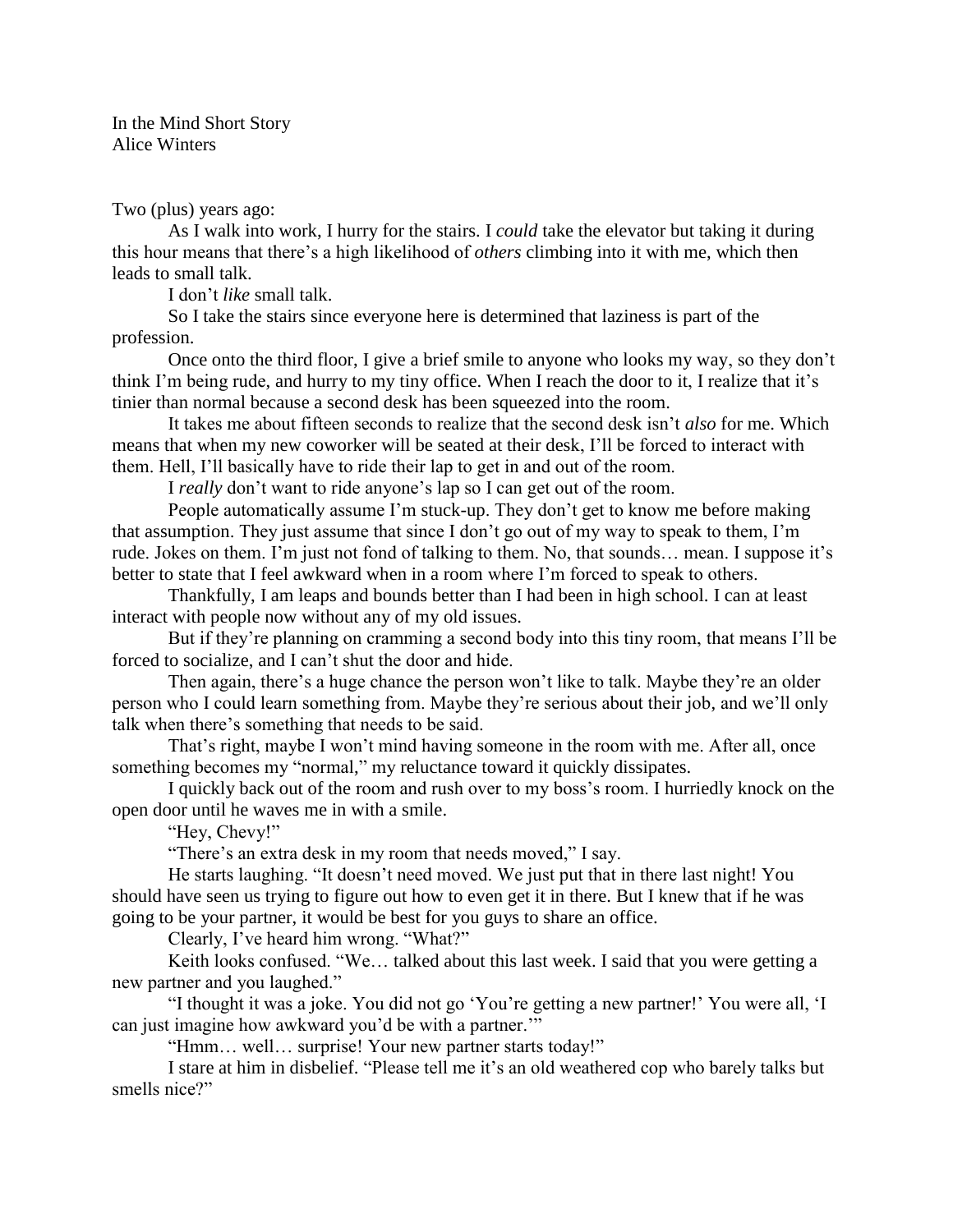In the Mind Short Story Alice Winters

Two (plus) years ago:

As I walk into work, I hurry for the stairs. I *could* take the elevator but taking it during this hour means that there's a high likelihood of *others* climbing into it with me, which then leads to small talk.

I don't *like* small talk.

So I take the stairs since everyone here is determined that laziness is part of the profession.

Once onto the third floor, I give a brief smile to anyone who looks my way, so they don't think I'm being rude, and hurry to my tiny office. When I reach the door to it, I realize that it's tinier than normal because a second desk has been squeezed into the room.

It takes me about fifteen seconds to realize that the second desk isn't *also* for me. Which means that when my new coworker will be seated at their desk, I'll be forced to interact with them. Hell, I'll basically have to ride their lap to get in and out of the room.

I *really* don't want to ride anyone's lap so I can get out of the room.

People automatically assume I'm stuck-up. They don't get to know me before making that assumption. They just assume that since I don't go out of my way to speak to them, I'm rude. Jokes on them. I'm just not fond of talking to them. No, that sounds… mean. I suppose it's better to state that I feel awkward when in a room where I'm forced to speak to others.

Thankfully, I am leaps and bounds better than I had been in high school. I can at least interact with people now without any of my old issues.

But if they're planning on cramming a second body into this tiny room, that means I'll be forced to socialize, and I can't shut the door and hide.

Then again, there's a huge chance the person won't like to talk. Maybe they're an older person who I could learn something from. Maybe they're serious about their job, and we'll only talk when there's something that needs to be said.

That's right, maybe I won't mind having someone in the room with me. After all, once something becomes my "normal," my reluctance toward it quickly dissipates.

I quickly back out of the room and rush over to my boss's room. I hurriedly knock on the open door until he waves me in with a smile.

"Hey, Chevy!"

"There's an extra desk in my room that needs moved," I say.

He starts laughing. "It doesn't need moved. We just put that in there last night! You should have seen us trying to figure out how to even get it in there. But I knew that if he was going to be your partner, it would be best for you guys to share an office.

Clearly, I've heard him wrong. "What?"

Keith looks confused. "We… talked about this last week. I said that you were getting a new partner and you laughed."

"I thought it was a joke. You did not go 'You're getting a new partner!' You were all, 'I can just imagine how awkward you'd be with a partner.'"

"Hmm… well… surprise! Your new partner starts today!"

I stare at him in disbelief. "Please tell me it's an old weathered cop who barely talks but smells nice?"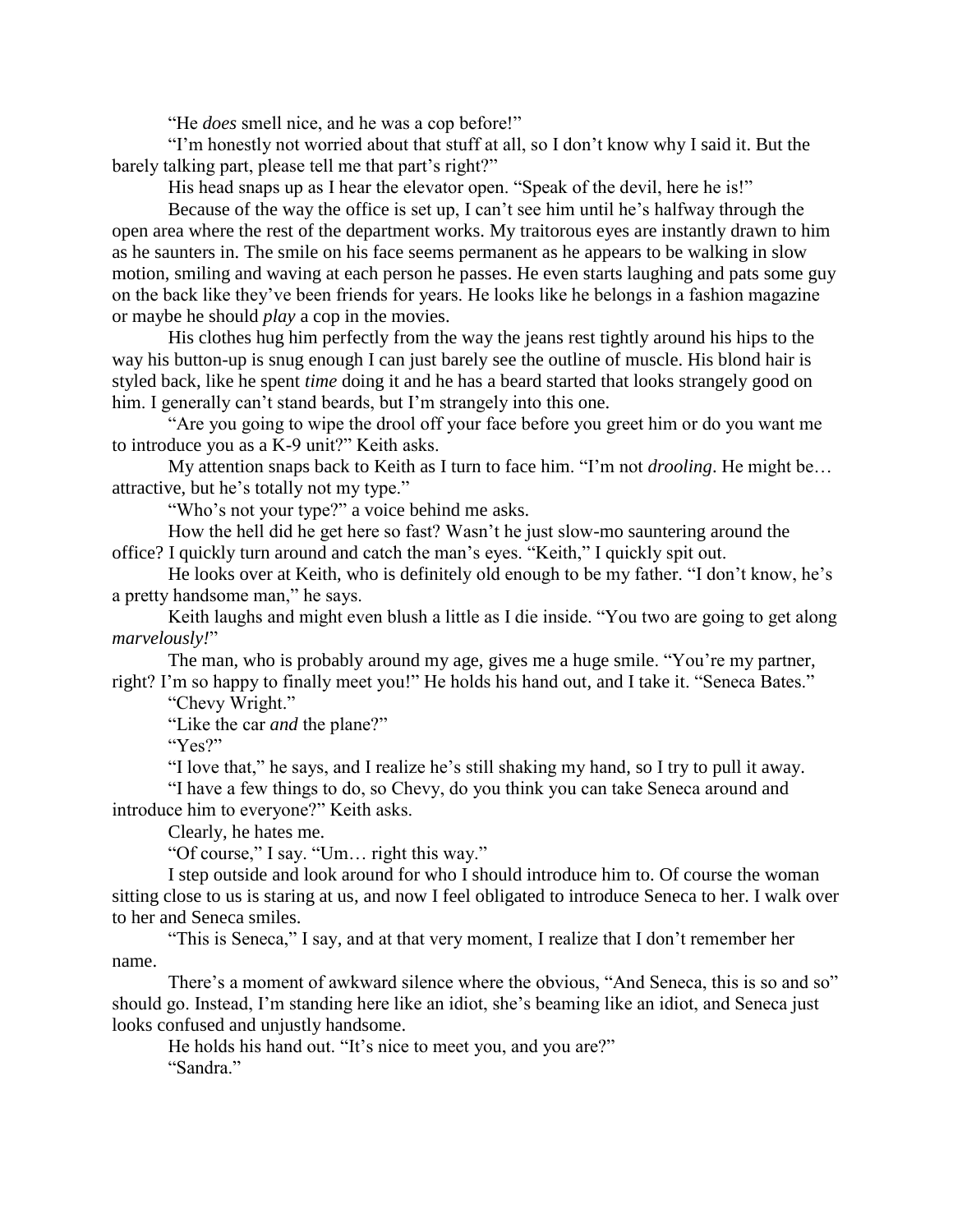"He *does* smell nice, and he was a cop before!"

"I'm honestly not worried about that stuff at all, so I don't know why I said it. But the barely talking part, please tell me that part's right?"

His head snaps up as I hear the elevator open. "Speak of the devil, here he is!"

Because of the way the office is set up, I can't see him until he's halfway through the open area where the rest of the department works. My traitorous eyes are instantly drawn to him as he saunters in. The smile on his face seems permanent as he appears to be walking in slow motion, smiling and waving at each person he passes. He even starts laughing and pats some guy on the back like they've been friends for years. He looks like he belongs in a fashion magazine or maybe he should *play* a cop in the movies.

His clothes hug him perfectly from the way the jeans rest tightly around his hips to the way his button-up is snug enough I can just barely see the outline of muscle. His blond hair is styled back, like he spent *time* doing it and he has a beard started that looks strangely good on him. I generally can't stand beards, but I'm strangely into this one.

"Are you going to wipe the drool off your face before you greet him or do you want me to introduce you as a K-9 unit?" Keith asks.

My attention snaps back to Keith as I turn to face him. "I'm not *drooling*. He might be… attractive, but he's totally not my type."

"Who's not your type?" a voice behind me asks.

How the hell did he get here so fast? Wasn't he just slow-mo sauntering around the office? I quickly turn around and catch the man's eyes. "Keith," I quickly spit out.

He looks over at Keith, who is definitely old enough to be my father. "I don't know, he's a pretty handsome man," he says.

Keith laughs and might even blush a little as I die inside. "You two are going to get along *marvelously!*"

The man, who is probably around my age, gives me a huge smile. "You're my partner, right? I'm so happy to finally meet you!" He holds his hand out, and I take it. "Seneca Bates."

"Chevy Wright."

"Like the car *and* the plane?"

"Yes?"

"I love that," he says, and I realize he's still shaking my hand, so I try to pull it away.

"I have a few things to do, so Chevy, do you think you can take Seneca around and introduce him to everyone?" Keith asks.

Clearly, he hates me.

"Of course," I say. "Um… right this way."

I step outside and look around for who I should introduce him to. Of course the woman sitting close to us is staring at us, and now I feel obligated to introduce Seneca to her. I walk over to her and Seneca smiles.

"This is Seneca," I say, and at that very moment, I realize that I don't remember her name.

There's a moment of awkward silence where the obvious, "And Seneca, this is so and so" should go. Instead, I'm standing here like an idiot, she's beaming like an idiot, and Seneca just looks confused and unjustly handsome.

He holds his hand out. "It's nice to meet you, and you are?" "Sandra."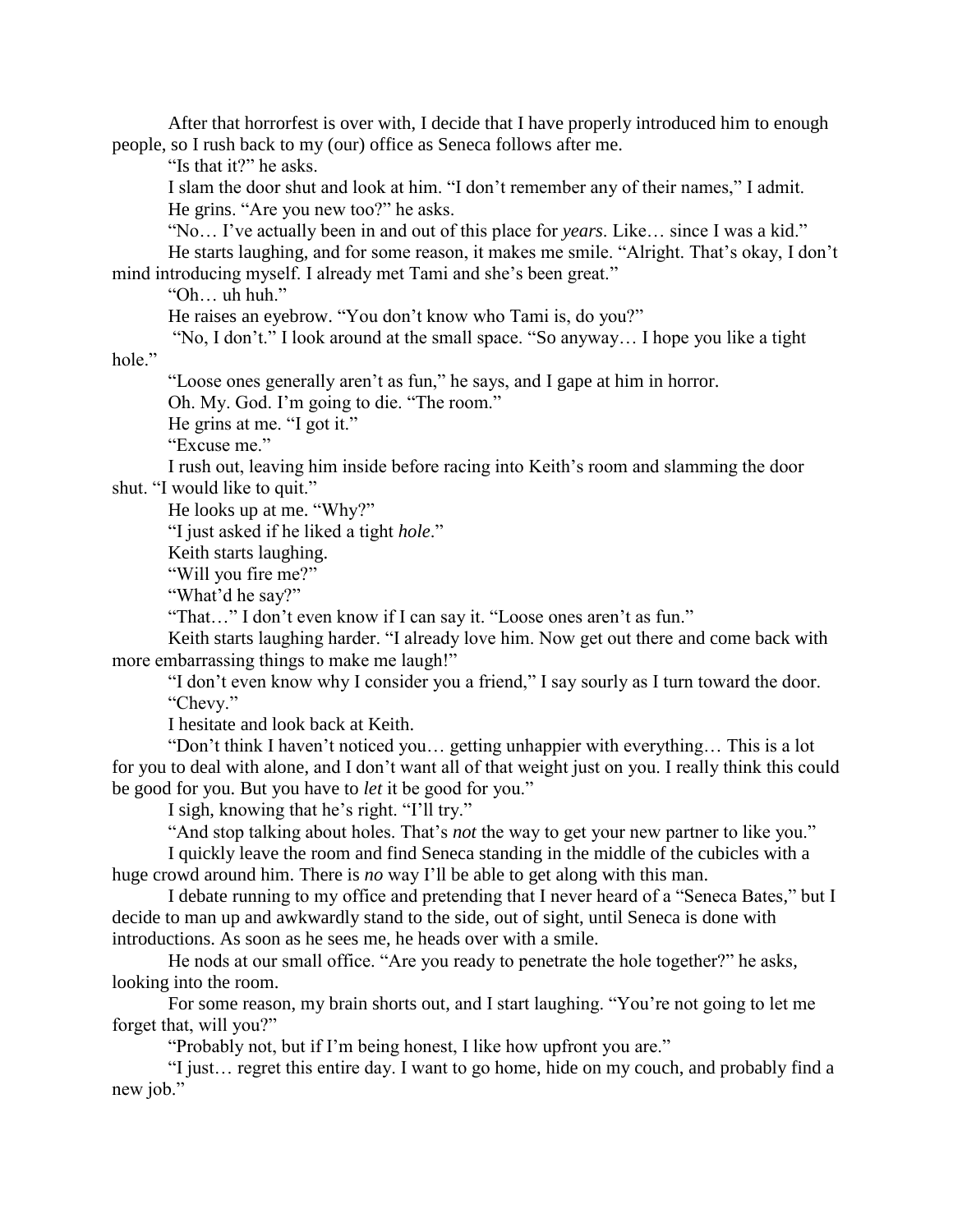After that horrorfest is over with, I decide that I have properly introduced him to enough people, so I rush back to my (our) office as Seneca follows after me.

"Is that it?" he asks.

I slam the door shut and look at him. "I don't remember any of their names," I admit. He grins. "Are you new too?" he asks.

"No… I've actually been in and out of this place for *years*. Like… since I was a kid." He starts laughing, and for some reason, it makes me smile. "Alright. That's okay, I don't mind introducing myself. I already met Tami and she's been great."

"Oh… uh huh."

He raises an eyebrow. "You don't know who Tami is, do you?"

"No, I don't." I look around at the small space. "So anyway… I hope you like a tight

hole."

"Loose ones generally aren't as fun," he says, and I gape at him in horror.

Oh. My. God. I'm going to die. "The room."

He grins at me. "I got it."

"Excuse me."

I rush out, leaving him inside before racing into Keith's room and slamming the door shut. "I would like to quit."

He looks up at me. "Why?"

"I just asked if he liked a tight *hole*."

Keith starts laughing.

"Will you fire me?"

"What'd he say?"

"That…" I don't even know if I can say it. "Loose ones aren't as fun."

Keith starts laughing harder. "I already love him. Now get out there and come back with more embarrassing things to make me laugh!"

"I don't even know why I consider you a friend," I say sourly as I turn toward the door. "Chevy."

I hesitate and look back at Keith.

"Don't think I haven't noticed you… getting unhappier with everything… This is a lot for you to deal with alone, and I don't want all of that weight just on you. I really think this could be good for you. But you have to *let* it be good for you."

I sigh, knowing that he's right. "I'll try."

"And stop talking about holes. That's *not* the way to get your new partner to like you."

I quickly leave the room and find Seneca standing in the middle of the cubicles with a huge crowd around him. There is *no* way I'll be able to get along with this man.

I debate running to my office and pretending that I never heard of a "Seneca Bates," but I decide to man up and awkwardly stand to the side, out of sight, until Seneca is done with introductions. As soon as he sees me, he heads over with a smile.

He nods at our small office. "Are you ready to penetrate the hole together?" he asks, looking into the room.

For some reason, my brain shorts out, and I start laughing. "You're not going to let me forget that, will you?"

"Probably not, but if I'm being honest, I like how upfront you are."

"I just… regret this entire day. I want to go home, hide on my couch, and probably find a new job."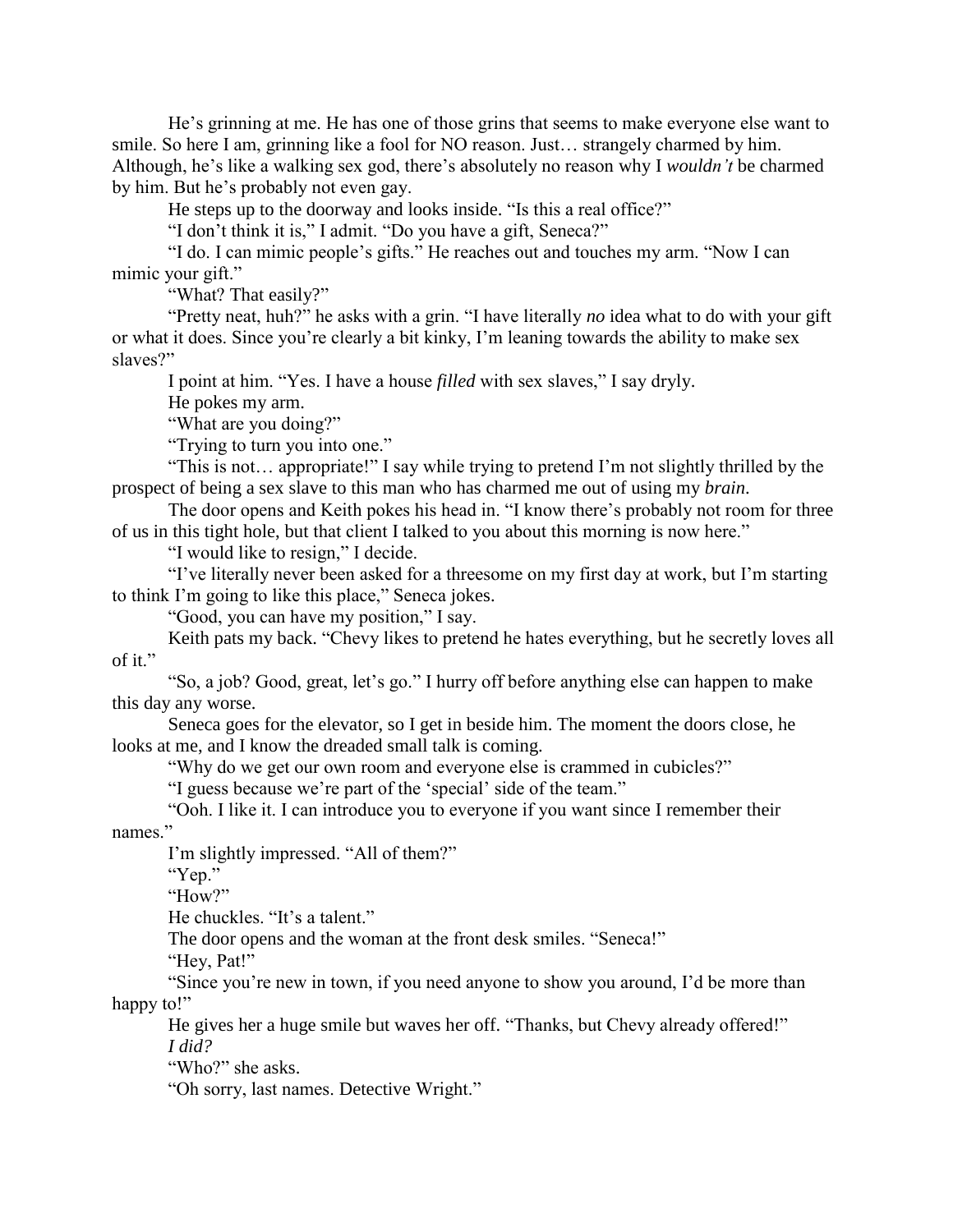He's grinning at me. He has one of those grins that seems to make everyone else want to smile. So here I am, grinning like a fool for NO reason. Just… strangely charmed by him. Although, he's like a walking sex god, there's absolutely no reason why I *wouldn't* be charmed by him. But he's probably not even gay.

He steps up to the doorway and looks inside. "Is this a real office?"

"I don't think it is," I admit. "Do you have a gift, Seneca?"

"I do. I can mimic people's gifts." He reaches out and touches my arm. "Now I can mimic your gift."

"What? That easily?"

"Pretty neat, huh?" he asks with a grin. "I have literally *no* idea what to do with your gift or what it does. Since you're clearly a bit kinky, I'm leaning towards the ability to make sex slaves?"

I point at him. "Yes. I have a house *filled* with sex slaves," I say dryly.

He pokes my arm.

"What are you doing?"

"Trying to turn you into one."

"This is not… appropriate!" I say while trying to pretend I'm not slightly thrilled by the prospect of being a sex slave to this man who has charmed me out of using my *brain*.

The door opens and Keith pokes his head in. "I know there's probably not room for three of us in this tight hole, but that client I talked to you about this morning is now here."

"I would like to resign," I decide.

"I've literally never been asked for a threesome on my first day at work, but I'm starting to think I'm going to like this place," Seneca jokes.

"Good, you can have my position," I say.

Keith pats my back. "Chevy likes to pretend he hates everything, but he secretly loves all of it."

"So, a job? Good, great, let's go." I hurry off before anything else can happen to make this day any worse.

Seneca goes for the elevator, so I get in beside him. The moment the doors close, he looks at me, and I know the dreaded small talk is coming.

"Why do we get our own room and everyone else is crammed in cubicles?"

"I guess because we're part of the 'special' side of the team."

"Ooh. I like it. I can introduce you to everyone if you want since I remember their names."

I'm slightly impressed. "All of them?"

"Yep."

"How?"

He chuckles. "It's a talent."

The door opens and the woman at the front desk smiles. "Seneca!"

"Hey, Pat!"

"Since you're new in town, if you need anyone to show you around, I'd be more than happy to!"

He gives her a huge smile but waves her off. "Thanks, but Chevy already offered!" *I did?*

"Who?" she asks.

"Oh sorry, last names. Detective Wright."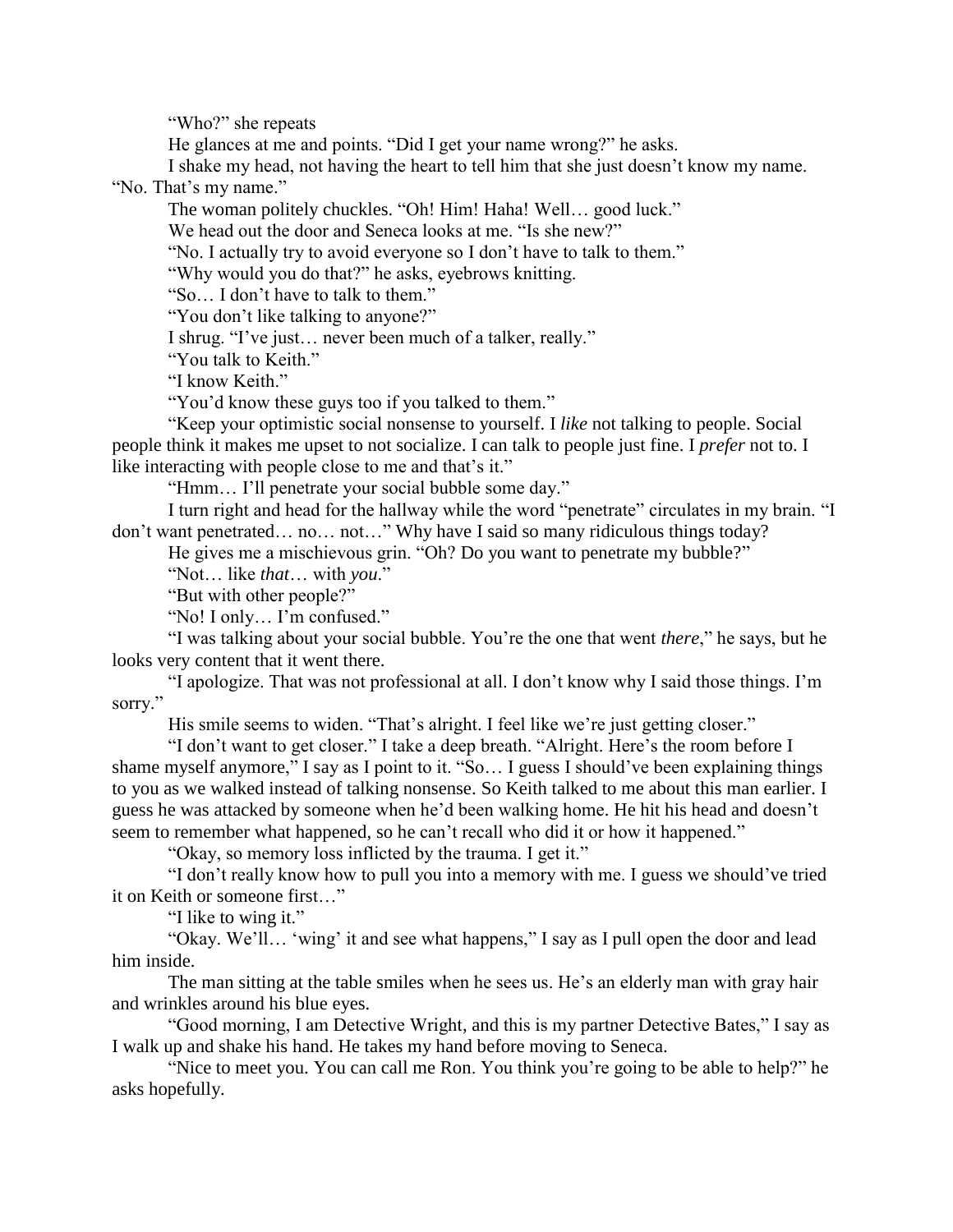"Who?" she repeats

He glances at me and points. "Did I get your name wrong?" he asks.

I shake my head, not having the heart to tell him that she just doesn't know my name.

"No. That's my name."

The woman politely chuckles. "Oh! Him! Haha! Well… good luck."

We head out the door and Seneca looks at me. "Is she new?"

"No. I actually try to avoid everyone so I don't have to talk to them."

"Why would you do that?" he asks, eyebrows knitting.

"So… I don't have to talk to them."

"You don't like talking to anyone?"

I shrug. "I've just… never been much of a talker, really."

"You talk to Keith."

"I know Keith."

"You'd know these guys too if you talked to them."

"Keep your optimistic social nonsense to yourself. I *like* not talking to people. Social people think it makes me upset to not socialize. I can talk to people just fine. I *prefer* not to. I like interacting with people close to me and that's it."

"Hmm… I'll penetrate your social bubble some day."

I turn right and head for the hallway while the word "penetrate" circulates in my brain. "I don't want penetrated… no… not…" Why have I said so many ridiculous things today?

He gives me a mischievous grin. "Oh? Do you want to penetrate my bubble?"

"Not… like *that*… with *you*."

"But with other people?"

"No! I only… I'm confused."

"I was talking about your social bubble. You're the one that went *there*," he says, but he looks very content that it went there.

"I apologize. That was not professional at all. I don't know why I said those things. I'm sorry."

His smile seems to widen. "That's alright. I feel like we're just getting closer."

"I don't want to get closer." I take a deep breath. "Alright. Here's the room before I shame myself anymore," I say as I point to it. "So… I guess I should've been explaining things to you as we walked instead of talking nonsense. So Keith talked to me about this man earlier. I guess he was attacked by someone when he'd been walking home. He hit his head and doesn't seem to remember what happened, so he can't recall who did it or how it happened."

"Okay, so memory loss inflicted by the trauma. I get it."

"I don't really know how to pull you into a memory with me. I guess we should've tried it on Keith or someone first…"

"I like to wing it."

"Okay. We'll… 'wing' it and see what happens," I say as I pull open the door and lead him inside.

The man sitting at the table smiles when he sees us. He's an elderly man with gray hair and wrinkles around his blue eyes.

"Good morning, I am Detective Wright, and this is my partner Detective Bates," I say as I walk up and shake his hand. He takes my hand before moving to Seneca.

"Nice to meet you. You can call me Ron. You think you're going to be able to help?" he asks hopefully.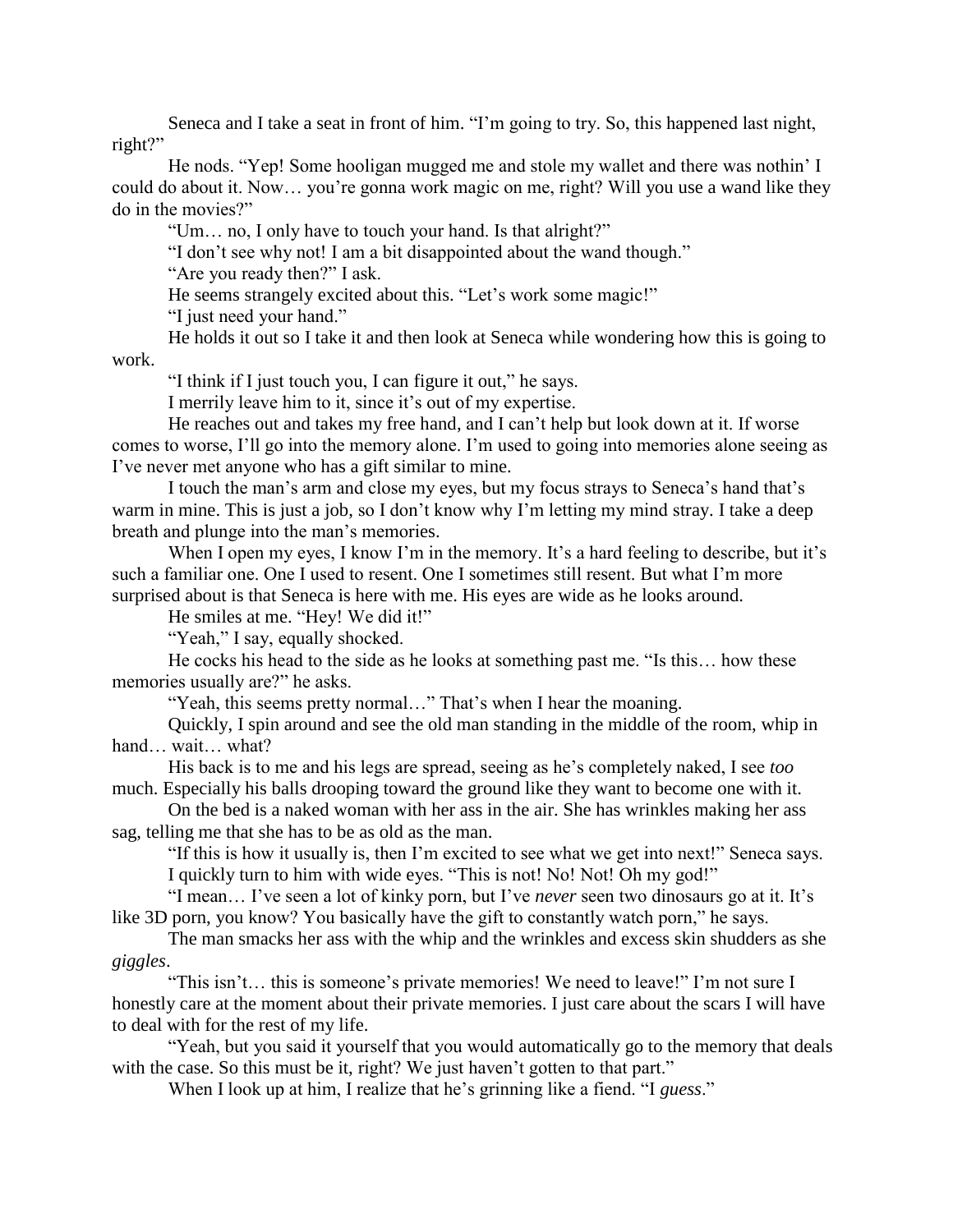Seneca and I take a seat in front of him. "I'm going to try. So, this happened last night, right?"

He nods. "Yep! Some hooligan mugged me and stole my wallet and there was nothin' I could do about it. Now… you're gonna work magic on me, right? Will you use a wand like they do in the movies?"

"Um… no, I only have to touch your hand. Is that alright?"

"I don't see why not! I am a bit disappointed about the wand though."

"Are you ready then?" I ask.

He seems strangely excited about this. "Let's work some magic!"

"I just need your hand."

He holds it out so I take it and then look at Seneca while wondering how this is going to work.

"I think if I just touch you, I can figure it out," he says.

I merrily leave him to it, since it's out of my expertise.

He reaches out and takes my free hand, and I can't help but look down at it. If worse comes to worse, I'll go into the memory alone. I'm used to going into memories alone seeing as I've never met anyone who has a gift similar to mine.

I touch the man's arm and close my eyes, but my focus strays to Seneca's hand that's warm in mine. This is just a job, so I don't know why I'm letting my mind stray. I take a deep breath and plunge into the man's memories.

When I open my eyes, I know I'm in the memory. It's a hard feeling to describe, but it's such a familiar one. One I used to resent. One I sometimes still resent. But what I'm more surprised about is that Seneca is here with me. His eyes are wide as he looks around.

He smiles at me. "Hey! We did it!"

"Yeah," I say, equally shocked.

He cocks his head to the side as he looks at something past me. "Is this… how these memories usually are?" he asks.

"Yeah, this seems pretty normal..." That's when I hear the moaning.

Quickly, I spin around and see the old man standing in the middle of the room, whip in hand… wait… what?

His back is to me and his legs are spread, seeing as he's completely naked, I see *too* much. Especially his balls drooping toward the ground like they want to become one with it.

On the bed is a naked woman with her ass in the air. She has wrinkles making her ass sag, telling me that she has to be as old as the man.

"If this is how it usually is, then I'm excited to see what we get into next!" Seneca says. I quickly turn to him with wide eyes. "This is not! No! Not! Oh my god!"

"I mean… I've seen a lot of kinky porn, but I've *never* seen two dinosaurs go at it. It's like 3D porn, you know? You basically have the gift to constantly watch porn," he says.

The man smacks her ass with the whip and the wrinkles and excess skin shudders as she *giggles*.

"This isn't… this is someone's private memories! We need to leave!" I'm not sure I honestly care at the moment about their private memories. I just care about the scars I will have to deal with for the rest of my life.

"Yeah, but you said it yourself that you would automatically go to the memory that deals with the case. So this must be it, right? We just haven't gotten to that part."

When I look up at him, I realize that he's grinning like a fiend. "I *guess*."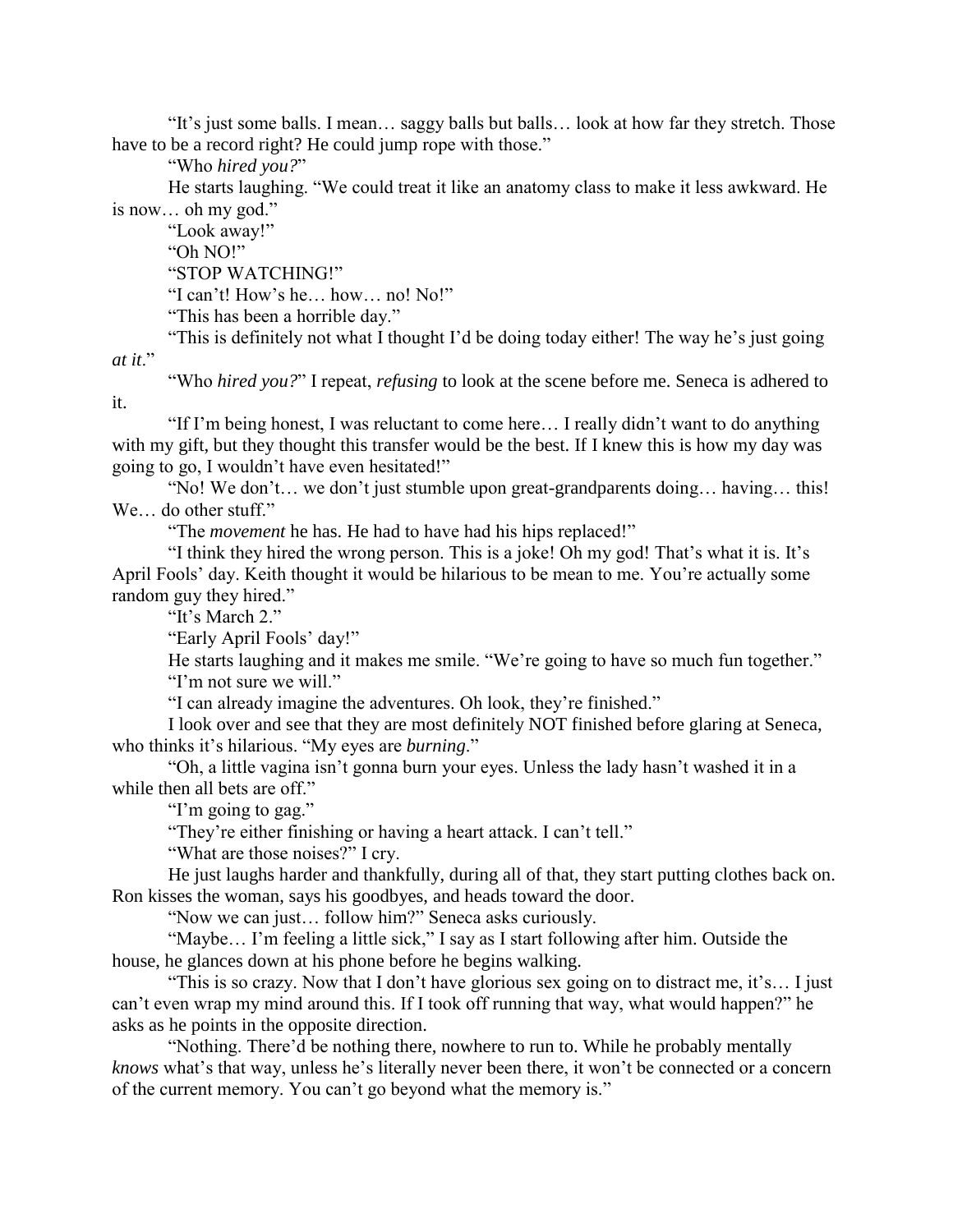"It's just some balls. I mean… saggy balls but balls… look at how far they stretch. Those have to be a record right? He could jump rope with those."

"Who *hired you?*"

He starts laughing. "We could treat it like an anatomy class to make it less awkward. He is now… oh my god."

"Look away!"

it.

"Oh NO!"

"STOP WATCHING!"

"I can't! How's he… how… no! No!"

"This has been a horrible day."

"This is definitely not what I thought I'd be doing today either! The way he's just going *at it*."

"Who *hired you?*" I repeat, *refusing* to look at the scene before me. Seneca is adhered to

"If I'm being honest, I was reluctant to come here… I really didn't want to do anything with my gift, but they thought this transfer would be the best. If I knew this is how my day was going to go, I wouldn't have even hesitated!"

"No! We don't… we don't just stumble upon great-grandparents doing… having… this! We… do other stuff."

"The *movement* he has. He had to have had his hips replaced!"

"I think they hired the wrong person. This is a joke! Oh my god! That's what it is. It's April Fools' day. Keith thought it would be hilarious to be mean to me. You're actually some random guy they hired."

"It's March 2."

"Early April Fools' day!"

He starts laughing and it makes me smile. "We're going to have so much fun together." "I'm not sure we will."

"I can already imagine the adventures. Oh look, they're finished."

I look over and see that they are most definitely NOT finished before glaring at Seneca, who thinks it's hilarious. "My eyes are *burning*."

"Oh, a little vagina isn't gonna burn your eyes. Unless the lady hasn't washed it in a while then all bets are off."

"I'm going to gag."

"They're either finishing or having a heart attack. I can't tell."

"What are those noises?" I cry.

He just laughs harder and thankfully, during all of that, they start putting clothes back on. Ron kisses the woman, says his goodbyes, and heads toward the door.

"Now we can just… follow him?" Seneca asks curiously.

"Maybe… I'm feeling a little sick," I say as I start following after him. Outside the house, he glances down at his phone before he begins walking.

"This is so crazy. Now that I don't have glorious sex going on to distract me, it's… I just can't even wrap my mind around this. If I took off running that way, what would happen?" he asks as he points in the opposite direction.

"Nothing. There'd be nothing there, nowhere to run to. While he probably mentally *knows* what's that way, unless he's literally never been there, it won't be connected or a concern of the current memory. You can't go beyond what the memory is."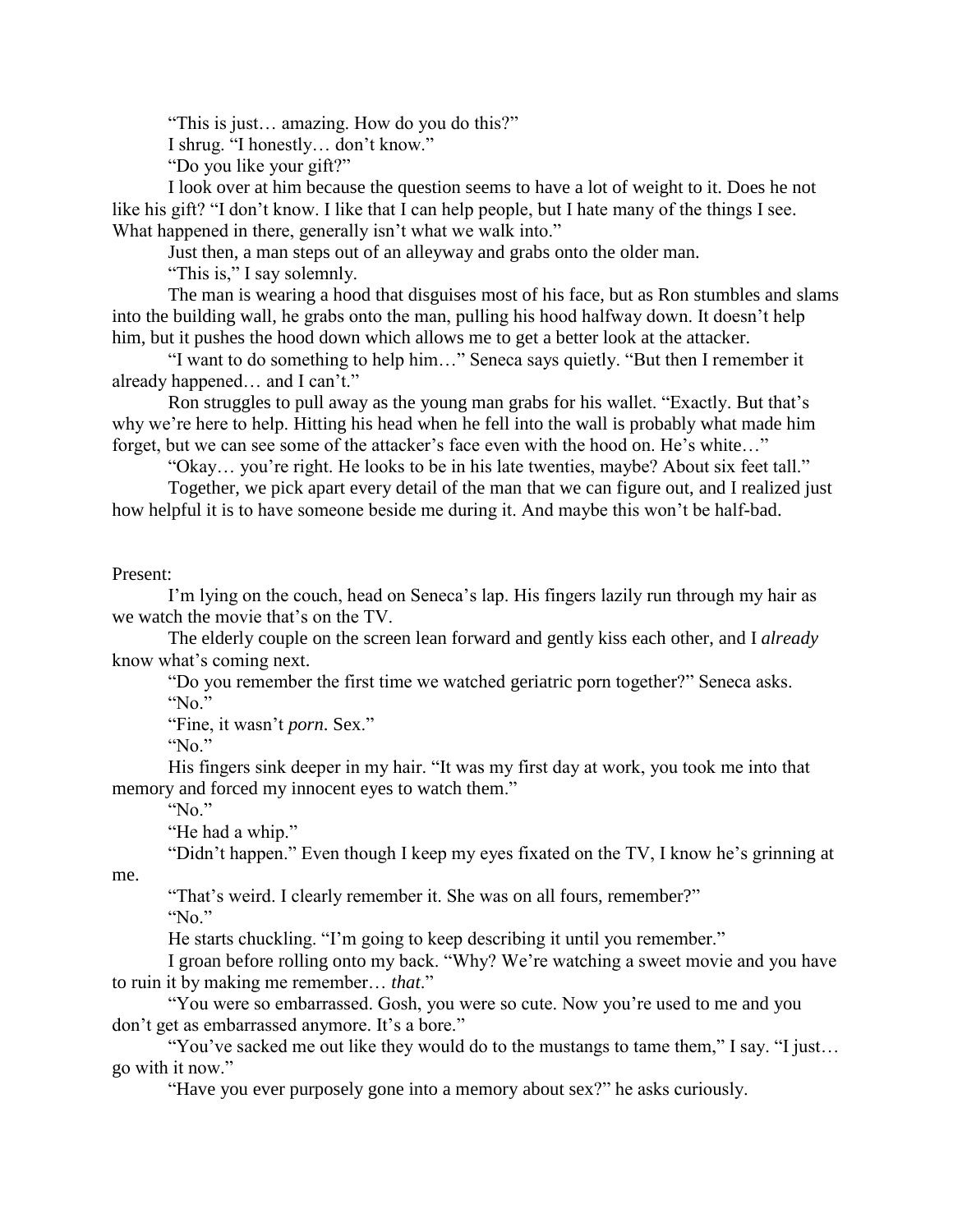"This is just… amazing. How do you do this?"

I shrug. "I honestly… don't know."

"Do you like your gift?"

I look over at him because the question seems to have a lot of weight to it. Does he not like his gift? "I don't know. I like that I can help people, but I hate many of the things I see. What happened in there, generally isn't what we walk into."

Just then, a man steps out of an alleyway and grabs onto the older man.

"This is," I say solemnly.

The man is wearing a hood that disguises most of his face, but as Ron stumbles and slams into the building wall, he grabs onto the man, pulling his hood halfway down. It doesn't help him, but it pushes the hood down which allows me to get a better look at the attacker.

"I want to do something to help him…" Seneca says quietly. "But then I remember it already happened… and I can't."

Ron struggles to pull away as the young man grabs for his wallet. "Exactly. But that's why we're here to help. Hitting his head when he fell into the wall is probably what made him forget, but we can see some of the attacker's face even with the hood on. He's white…"

"Okay… you're right. He looks to be in his late twenties, maybe? About six feet tall."

Together, we pick apart every detail of the man that we can figure out, and I realized just how helpful it is to have someone beside me during it. And maybe this won't be half-bad.

## Present:

I'm lying on the couch, head on Seneca's lap. His fingers lazily run through my hair as we watch the movie that's on the TV.

The elderly couple on the screen lean forward and gently kiss each other, and I *already* know what's coming next.

"Do you remember the first time we watched geriatric porn together?" Seneca asks.

"No."

"Fine, it wasn't *porn*. Sex."

"No."

His fingers sink deeper in my hair. "It was my first day at work, you took me into that memory and forced my innocent eyes to watch them."

"No."

"He had a whip."

"Didn't happen." Even though I keep my eyes fixated on the TV, I know he's grinning at

"That's weird. I clearly remember it. She was on all fours, remember?"

"No."

me.

He starts chuckling. "I'm going to keep describing it until you remember."

I groan before rolling onto my back. "Why? We're watching a sweet movie and you have to ruin it by making me remember… *that*."

"You were so embarrassed. Gosh, you were so cute. Now you're used to me and you don't get as embarrassed anymore. It's a bore."

"You've sacked me out like they would do to the mustangs to tame them," I say. "I just… go with it now."

"Have you ever purposely gone into a memory about sex?" he asks curiously.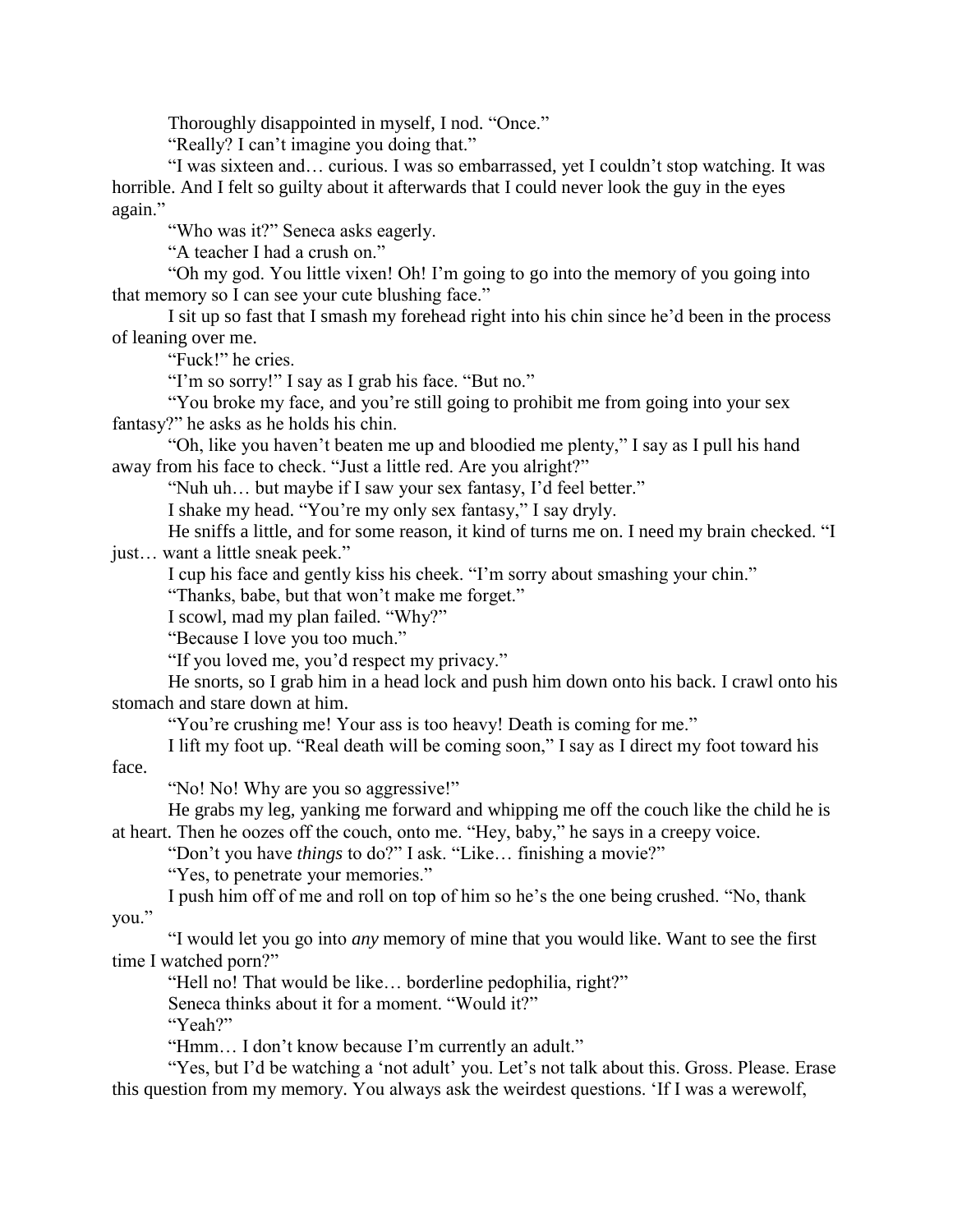Thoroughly disappointed in myself, I nod. "Once."

"Really? I can't imagine you doing that."

"I was sixteen and… curious. I was so embarrassed, yet I couldn't stop watching. It was horrible. And I felt so guilty about it afterwards that I could never look the guy in the eyes again."

"Who was it?" Seneca asks eagerly.

"A teacher I had a crush on."

"Oh my god. You little vixen! Oh! I'm going to go into the memory of you going into that memory so I can see your cute blushing face."

I sit up so fast that I smash my forehead right into his chin since he'd been in the process of leaning over me.

"Fuck!" he cries.

"I'm so sorry!" I say as I grab his face. "But no."

"You broke my face, and you're still going to prohibit me from going into your sex fantasy?" he asks as he holds his chin.

"Oh, like you haven't beaten me up and bloodied me plenty," I say as I pull his hand away from his face to check. "Just a little red. Are you alright?"

"Nuh uh… but maybe if I saw your sex fantasy, I'd feel better."

I shake my head. "You're my only sex fantasy," I say dryly.

He sniffs a little, and for some reason, it kind of turns me on. I need my brain checked. "I just… want a little sneak peek."

I cup his face and gently kiss his cheek. "I'm sorry about smashing your chin."

"Thanks, babe, but that won't make me forget."

I scowl, mad my plan failed. "Why?"

"Because I love you too much."

"If you loved me, you'd respect my privacy."

He snorts, so I grab him in a head lock and push him down onto his back. I crawl onto his stomach and stare down at him.

"You're crushing me! Your ass is too heavy! Death is coming for me."

I lift my foot up. "Real death will be coming soon," I say as I direct my foot toward his face.

"No! No! Why are you so aggressive!"

He grabs my leg, yanking me forward and whipping me off the couch like the child he is at heart. Then he oozes off the couch, onto me. "Hey, baby," he says in a creepy voice.

"Don't you have *things* to do?" I ask. "Like… finishing a movie?"

"Yes, to penetrate your memories."

I push him off of me and roll on top of him so he's the one being crushed. "No, thank you."

"I would let you go into *any* memory of mine that you would like. Want to see the first time I watched porn?"

"Hell no! That would be like… borderline pedophilia, right?"

Seneca thinks about it for a moment. "Would it?"

"Yeah?"

"Hmm… I don't know because I'm currently an adult."

"Yes, but I'd be watching a 'not adult' you. Let's not talk about this. Gross. Please. Erase this question from my memory. You always ask the weirdest questions. 'If I was a werewolf,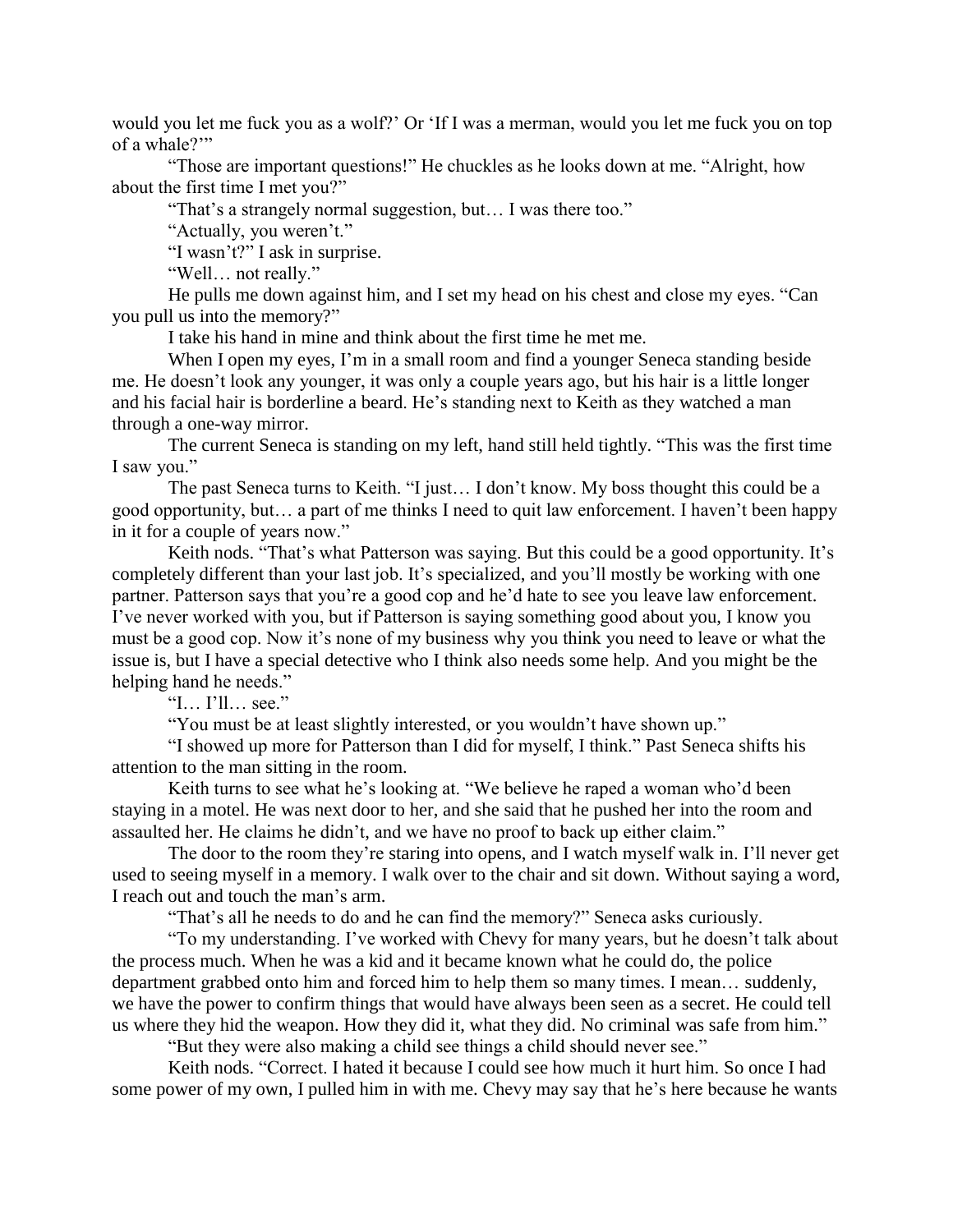would you let me fuck you as a wolf?' Or 'If I was a merman, would you let me fuck you on top of a whale?"

"Those are important questions!" He chuckles as he looks down at me. "Alright, how about the first time I met you?"

"That's a strangely normal suggestion, but… I was there too."

"Actually, you weren't."

"I wasn't?" I ask in surprise.

"Well… not really."

He pulls me down against him, and I set my head on his chest and close my eyes. "Can you pull us into the memory?"

I take his hand in mine and think about the first time he met me.

When I open my eyes, I'm in a small room and find a younger Seneca standing beside me. He doesn't look any younger, it was only a couple years ago, but his hair is a little longer and his facial hair is borderline a beard. He's standing next to Keith as they watched a man through a one-way mirror.

The current Seneca is standing on my left, hand still held tightly. "This was the first time I saw you."

The past Seneca turns to Keith. "I just… I don't know. My boss thought this could be a good opportunity, but… a part of me thinks I need to quit law enforcement. I haven't been happy in it for a couple of years now."

Keith nods. "That's what Patterson was saying. But this could be a good opportunity. It's completely different than your last job. It's specialized, and you'll mostly be working with one partner. Patterson says that you're a good cop and he'd hate to see you leave law enforcement. I've never worked with you, but if Patterson is saying something good about you, I know you must be a good cop. Now it's none of my business why you think you need to leave or what the issue is, but I have a special detective who I think also needs some help. And you might be the helping hand he needs."

"I… I'll… see."

"You must be at least slightly interested, or you wouldn't have shown up."

"I showed up more for Patterson than I did for myself, I think." Past Seneca shifts his attention to the man sitting in the room.

Keith turns to see what he's looking at. "We believe he raped a woman who'd been staying in a motel. He was next door to her, and she said that he pushed her into the room and assaulted her. He claims he didn't, and we have no proof to back up either claim."

The door to the room they're staring into opens, and I watch myself walk in. I'll never get used to seeing myself in a memory. I walk over to the chair and sit down. Without saying a word, I reach out and touch the man's arm.

"That's all he needs to do and he can find the memory?" Seneca asks curiously.

"To my understanding. I've worked with Chevy for many years, but he doesn't talk about the process much. When he was a kid and it became known what he could do, the police department grabbed onto him and forced him to help them so many times. I mean… suddenly, we have the power to confirm things that would have always been seen as a secret. He could tell us where they hid the weapon. How they did it, what they did. No criminal was safe from him."

"But they were also making a child see things a child should never see."

Keith nods. "Correct. I hated it because I could see how much it hurt him. So once I had some power of my own, I pulled him in with me. Chevy may say that he's here because he wants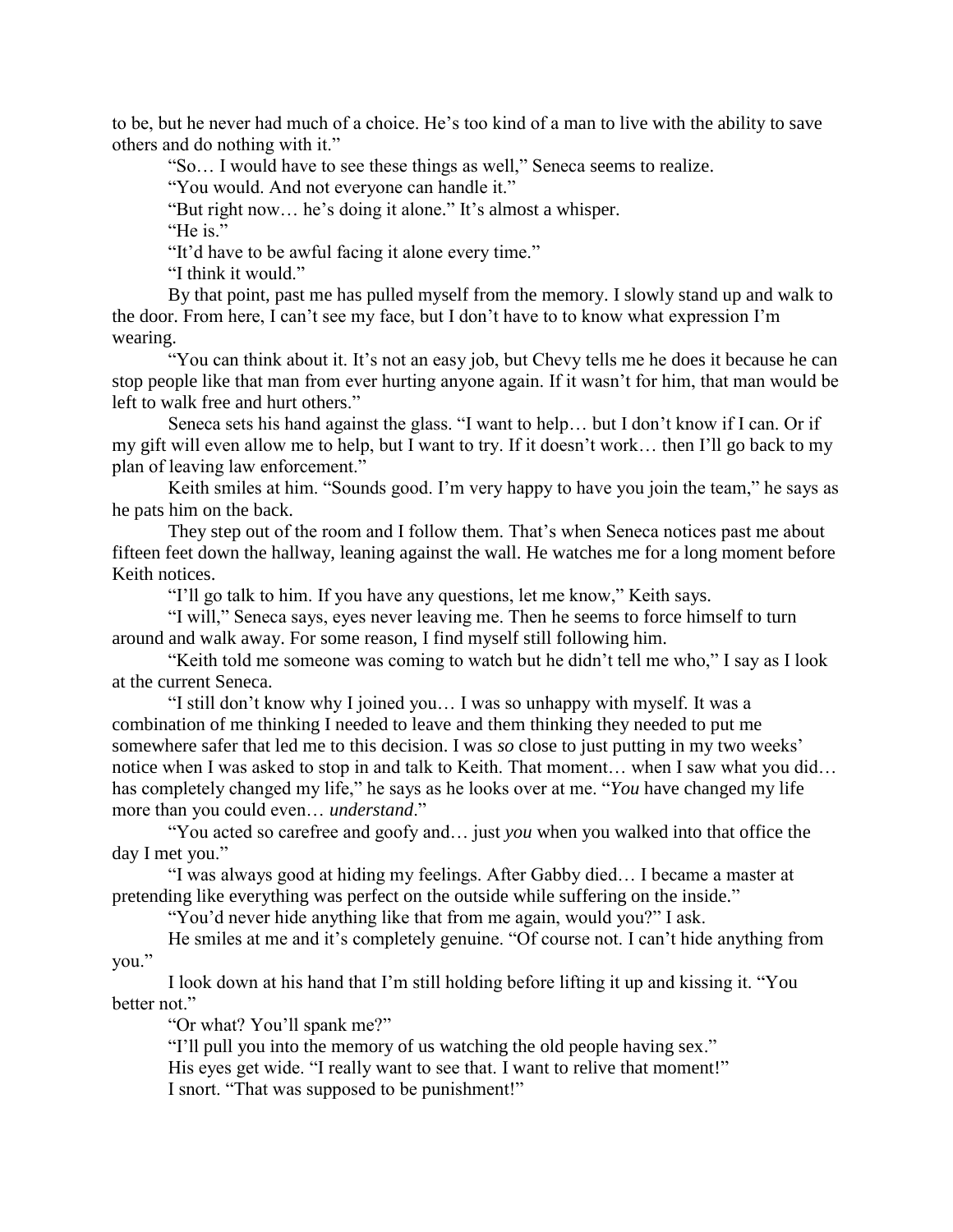to be, but he never had much of a choice. He's too kind of a man to live with the ability to save others and do nothing with it."

"So… I would have to see these things as well," Seneca seems to realize.

"You would. And not everyone can handle it."

"But right now… he's doing it alone." It's almost a whisper.

"He is."

"It'd have to be awful facing it alone every time."

"I think it would."

By that point, past me has pulled myself from the memory. I slowly stand up and walk to the door. From here, I can't see my face, but I don't have to to know what expression I'm wearing.

"You can think about it. It's not an easy job, but Chevy tells me he does it because he can stop people like that man from ever hurting anyone again. If it wasn't for him, that man would be left to walk free and hurt others."

Seneca sets his hand against the glass. "I want to help… but I don't know if I can. Or if my gift will even allow me to help, but I want to try. If it doesn't work… then I'll go back to my plan of leaving law enforcement."

Keith smiles at him. "Sounds good. I'm very happy to have you join the team," he says as he pats him on the back.

They step out of the room and I follow them. That's when Seneca notices past me about fifteen feet down the hallway, leaning against the wall. He watches me for a long moment before Keith notices.

"I'll go talk to him. If you have any questions, let me know," Keith says.

"I will," Seneca says, eyes never leaving me. Then he seems to force himself to turn around and walk away. For some reason, I find myself still following him.

"Keith told me someone was coming to watch but he didn't tell me who," I say as I look at the current Seneca.

"I still don't know why I joined you… I was so unhappy with myself. It was a combination of me thinking I needed to leave and them thinking they needed to put me somewhere safer that led me to this decision. I was *so* close to just putting in my two weeks' notice when I was asked to stop in and talk to Keith. That moment… when I saw what you did… has completely changed my life," he says as he looks over at me. "*You* have changed my life more than you could even… *understand*."

"You acted so carefree and goofy and… just *you* when you walked into that office the day I met you."

"I was always good at hiding my feelings. After Gabby died… I became a master at pretending like everything was perfect on the outside while suffering on the inside."

"You'd never hide anything like that from me again, would you?" I ask.

He smiles at me and it's completely genuine. "Of course not. I can't hide anything from you."

I look down at his hand that I'm still holding before lifting it up and kissing it. "You better not."

"Or what? You'll spank me?"

"I'll pull you into the memory of us watching the old people having sex." His eyes get wide. "I really want to see that. I want to relive that moment!" I snort. "That was supposed to be punishment!"